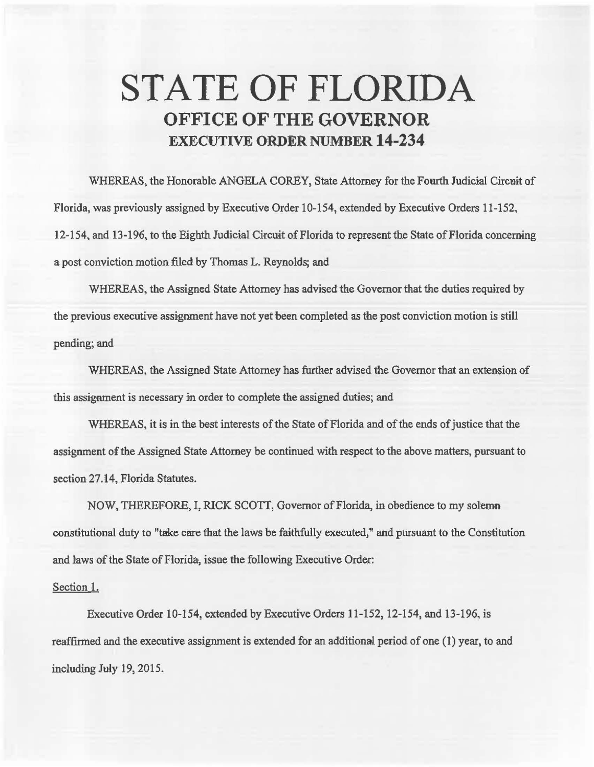## **STATE OF FLORIDA OFFICE OF THE GOVERNOR EXECUTIVE ORDER NUMBER 14-234**

WHEREAS, the Honorable ANGELA COREY, State Attorney for the Fourth Judicial Circuit of Florida, was previously assigned by Executive Order 10-154, extended by Executive Orders 11-152, 12-154, and 13-196, to the Eighth Judicial Circuit of Florida to represent the State of Florida concerning a post conviction motion filed by Thomas L. Reynolds; and

WHEREAS, the Assigned State Attorney has advised the Governor that the duties required by the previous executive assignment have not yet been completed as the post conviction motion is still pending; and

WHEREAS, the Assigned State Attorney has further advised the Governor that an extension of this assignment is necessary in order to complete the assigned duties; and

WHEREAS, it is in the best interests of the State of Florida and of the ends of justice that the assignment of the Assigned State Attorney be continued with respect to the above matters, pursuant to section 27.14, Florida Statutes.

NOW, THEREFORE, I, RICK SCOTT, Governor of Florida, in obedience to my solemn constitutional duty to "take care that the laws be faithfully executed," and pursuant to the Constitution and laws of the State of Florida, issue the following Executive Order:

## Section l.

Executive Order 10-154, extended by Executive Orders 11-152, 12-154, and 13-196, is reaffirmed and the executive assignment is extended for an additional period of one (1) year, to and  $including July 19, 2015.$